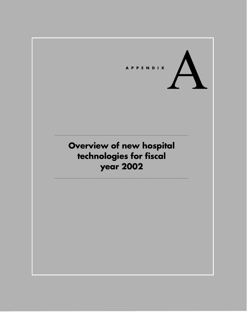

# **Overview of new hospital technologies for fiscal year 2002**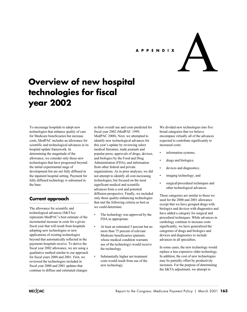#### **APPENDIX**



## **Overview of new hospital technologies for fiscal year 2002**

To encourage hospitals to adopt new technologies that enhance quality of care for Medicare beneficiaries but increase costs, MedPAC includes an allowance for scientific and technological advances in its hospital update framework. In determining the magnitude of the allowance, we consider only those new technologies that have progressed beyond the initial experimental stage of development but are not fully diffused in the inpatient hospital setting. Payment for fully diffused technology is subsumed in the base.

#### **Current approach**

The allowance for scientific and technological advances (S&TAs) represents MedPAC's best estimate of the incremental increase in costs for a given fiscal year that will result from hospitals adopting new technologies or new applications of existing technologies beyond that automatically reflected in the payments hospitals receive. To derive the fiscal year 2002 allowance, we are using a qualitative method similar to our approach for fiscal years 2000 and 2001. First, we reviewed the technologies included in fiscal year 2000 and 2001 updates that continue to diffuse and estimated changes

in their overall use and costs predicted for fiscal year 2002 (MedPAC 1999; MedPAC 2000). Next, we attempted to identify new technological advances for this year's update by reviewing select medical literature, trade journals and popular press; approvals of drugs, devices, and biologics by the Food and Drug Administration (FDA); and information from other federal and private organizations. As in prior analyses, we did not attempt to identify all cost-increasing technologies, but focused on the most significant medical and scientific advances from a cost and potential diffusion perspective. Finally, we included only those quality-enhancing technologies that met the following criteria as best as we could determine:

- The technology was approved by the FDA as appropriate.
- At least an estimated 5 percent but no more than 75 percent of relevant Medicare beneficiaries (patients whose medical condition warrants use of the technology) would receive the technology.
- Substantially higher net treatment costs would result from use of the new technology.

We divided new technologies into five broad categories that we believe encompass virtually all of the advances expected to contribute significantly to increased costs:

- information systems;
- drugs and biologics;
- devices and diagnostics;
- imaging technology; and
- surgical/procedural techniques and other technological advances.

These categories are similar to those we used for the 2000 and 2001 allowance except that we have grouped drugs with biologics and devices with diagnostics and have added a category for surgical and procedural techniques. While advances in cardiology continue to increase costs significantly, we have generalized the categories of drugs and biologics and devices and diagnostics to include advances in all specialties.

In some cases, the new technology would replace a less expensive older technology. In addition, the cost of new technologies may be partially offset by productivity increases. For the purpose of determining the S&TA adjustment, we attempt to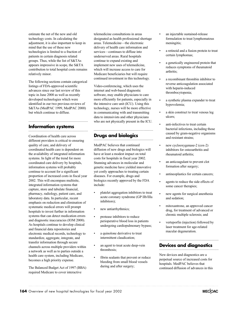estimate the net of the new and old technology costs. In calculating the adjustment, it is also important to keep in mind that the use of these new technologies is limited to a fraction of patients in certain diagnosis related groups. Thus, while the list of S&TAs appears impressive in scope, the S&TA contribution to total hospital costs remains relatively minor.

The following sections contain categorical listings of FDA-approved scientific advances since our last review of this topic in June 2000 as well as recently developed technologies which were identified in our two previous reviews of S&TAs (MedPAC 1999, MedPAC 2000) but which continue to diffuse.

## **Information systems**

Coordination of health care across different providers is critical to ensuring quality of care, and delivery of coordinated health care is dependent on the availability of integrated information systems. In light of the trend for more coordinated care delivery by hospitals, information systems will probably continue to account for a significant proportion of increased costs in fiscal year 2002. This will encompass multisite, integrated information systems that capture, store and tabulate financial, pharmacy, radiology, patient care, and laboratory data. In particular, recent emphasis on reduction and elimination of systematic medical errors will prompt hospitals to invest further in information systems that can detect medication errors and diagnostic inaccuracies (IOM 2000). As hospitals continue to develop clinical and financial data repositories and electronic medical records, technology to standardize, aggregate, integrate, and transfer information through secure channels across multiple providers within a network as well as to parties outside a health care system, including Medicare, becomes a high priority expense.

The Balanced Budget Act of 1997 (BBA) required Medicare to cover interactive

telemedicine consultations in areas designated as health professional shortage areas. Telemedicine—the electronic delivery of health care information and services—continues to diffuse into underserved areas. Rural hospitals continue to expand existing and implement new uses of telemedicine, which will increase access to care for Medicare beneficiaries but will require continued investment in this technology.

Video-conferencing, which uses the internet and web-based diagnostic software, may enable physicians to care more efficiently for patients, especially in the intensive care unit (ICU). Using this technology, nurses will be more effective in communicating with and transmitting data to intensivists and other physicians who are not physically present in the ICU.

#### **Drugs and biologics**

MedPAC believes that continued diffusion of new drugs and biologics will have at least a modest impact on total costs for hospitals in fiscal year 2002. Stunning advances in molecular and genetic medicine have yielded innovative yet costly approaches to treating certain diseases. For example, drugs and biologics recently approved by the FDA include:

- platelet aggregation inhibitors to treat acute coronary syndrome (GP IIb/IIIa inhibitors);
- new antiarrhythmics;
- protease inhibitors to reduce perioperative blood loss in patients undergoing cardiopulmonary bypass;
- a quinolone derivative to treat intermittent claudication;
- an agent to treat acute deep-vein thrombosis;
- fibrin sealants that prevent or reduce bleeding from small blood vessels during and after surgery;

- an injectable sustained-release formulation to treat lymphomatous meningitis;
- a retinoid and a fusion protein to treat certain lymphomas;
- a genetically engineered protein that reduces symptoms of rheumatoid arthritis;
- a recombinant thrombin inhibitor to reverse anticoagulation associated with heparin-induced thrombocytopenia;
- a synthetic plasma expander to treat hypovolemia;
- a skin construct to treat venous leg ulcers;
- anti-infectives to treat certain bacterial infections, including those caused by gram-negative organisms and resistant strains;
- new cyclooxygenase-2 (cox-2) inhibitors for osteoarthritis and rheumatoid arthritis;
- an anticoagulant to prevent clot formation after surgery;
- antineoplastics for certain cancers;
- agents to reduce the side effects of some cancer therapies;
- new agents for surgical anesthesia and sedation;
- mitoxantrone, an approved cancer drug, for treatment of advanced or chronic multiple sclerosis; and
- verteporfin (injection) followed by laser treatment for age-related macular degeneration.

## **Devices and diagnostics**

 $\begin{minipage}{0.5\textwidth} \begin{tabular}{|c|c|c|} \hline \multicolumn{1}{|c|}{0.4\textwidth} \begin{tabular}{|c|c|c|} \hline \multicolumn{1}{|c|}{0.4\textwidth} \begin{tabular}{|c|c|c|} \hline \multicolumn{1}{|c|}{0.4\textwidth} \begin{tabular}{|c|c|c|} \hline \multicolumn{1}{|c|}{0.4\textwidth} \begin{tabular}{|c|c|c|} \hline \multicolumn{1}{|c|}{0.4\textwidth} \begin{tabular}{|c|c|c|} \hline \multicolumn{1}{|c|}{0.4$ 

New devices and diagnostics are a perpetual source of increased costs for hospitals. MedPAC believes that continued diffusion of advances in this

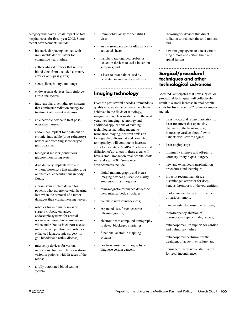category will have a small impact on total hospital costs for fiscal year 2002. Some recent advancements include:

- biventricular pacing devices with implantable defibrillators for congestive heart failure;
- catheter-based devices that remove blood clots from occluded coronary arteries or bypass grafts;
- stents (liver, biliary, and lung);
- endovascular devices that reinforce aortic aneurysms;
- intravascular brachytherapy systems that administer radiation energy for treatment of in-stent restenosis;
- an electronic device to treat postoperative nausea;
- abdominal implant for treatment of chronic, intractable (drug-refractory) nausea and vomiting secondary to gastroparesis;
- biological sensors (continuous glucose monitoring system);
- drug delivery implants with and without biosensors that monitor drug or chemical concentrations in body fluids;
- a brain stem implant device for patients who experience total hearing loss when the removal of a tumor damages their cranial hearing nerves;
- robotics for minimally invasive surgery (robotic-enhanced endoscopic systems for arterial revascularizaton, three-dimensional video and robot-assisted port-access mitral valve operation, and roboticenhanced laparoscopic surgery for gall bladder and reflux disease);
- microchip devices for various indications; for example, for restoring vision in patients with diseases of the retina;
- a fully automated blood testing system;
- immunoblot assay for hepatitis C virus;
- an ultrasonic scalpel or ultrasonically activated shears;
- handheld radioguided probes or detection devices to assist in certain surgeries; and
- a laser to treat pain caused by herniated or ruptured spinal discs.

#### **Imaging technology**

Over the past several decades, tremendous quality-of-care enhancements have been achieved in the fields of radiology, imaging and nuclear medicine. In the next year, new imaging technology and additional applications of existing technologies including magnetic resonance imaging, positron emission tomography, ultrasound and computed tomography, will continue to increase costs for hospitals. MedPAC believes that diffusion of advances in these areas will have a small impact on total hospital costs in fiscal year 2002. Some recent advancements include:

- digital mammography and breast imaging devices (T-scan) to clarify ambiguous mammograms;
- mini-magnetic resonance devices to view internal body structures;
- handheld ultrasound devices;
- expanded uses for endoscopic ultrasonography;
- electron-beam computed tomography to detect blockages in arteries;
- functional anatomic mapping systems;
- positron emission tomography to diagnose certain cancers;

- radiosurgery devices that direct radiation to treat certain solid tumors; and
- new imaging agents to detect certain lung tumors and certain brain and spinal lesions.

#### **Surgical/procedural techniques and other technological advances**

MedPAC anticipates that new surgical or procedural techniques will collectively result in a small increase in total hospital costs for fiscal year 2002. Some examples include:

- transmyocardial revascularization, a laser treatment that opens tiny channels in the heart muscle, increasing cardiac blood flow in patients with severe angina;
- laser angioplasty;
- minimally invasive and off-pump coronary artery bypass surgery;
- new and expanded transplantation procedures and techniques;
- intraclot recombinant tissue plasminogen activator for deep venous thrombosis of the extremities;
- photodynamic therapy for treatment of various tumors;
- hand-assisted laparoscopic surgery;
- radiofrequency ablation of unresectable hepatic malignancies;
- extracorporeal life support for cardiac and pulmonary failure;
- extracorporeal perfusion for the treatment of acute liver failure; and
- permanent sacral nerve stimulation for fecal incontinence.